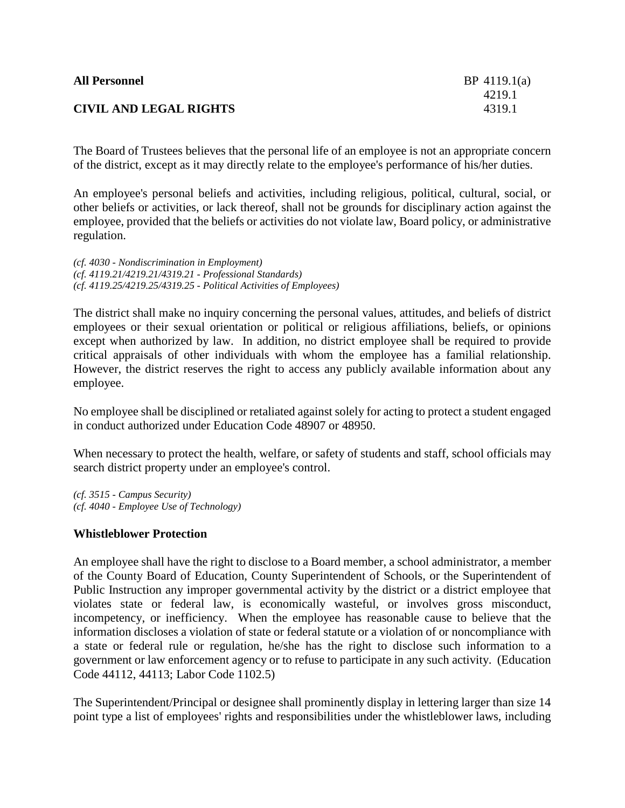| <b>All Personnel</b>          | BP $4119.1(a)$ |
|-------------------------------|----------------|
|                               | 4219.1         |
| <b>CIVIL AND LEGAL RIGHTS</b> | 4319.1         |

The Board of Trustees believes that the personal life of an employee is not an appropriate concern of the district, except as it may directly relate to the employee's performance of his/her duties.

An employee's personal beliefs and activities, including religious, political, cultural, social, or other beliefs or activities, or lack thereof, shall not be grounds for disciplinary action against the employee, provided that the beliefs or activities do not violate law, Board policy, or administrative regulation.

*(cf. 4030 - Nondiscrimination in Employment) (cf. 4119.21/4219.21/4319.21 - Professional Standards) (cf. 4119.25/4219.25/4319.25 - Political Activities of Employees)*

The district shall make no inquiry concerning the personal values, attitudes, and beliefs of district employees or their sexual orientation or political or religious affiliations, beliefs, or opinions except when authorized by law. In addition, no district employee shall be required to provide critical appraisals of other individuals with whom the employee has a familial relationship. However, the district reserves the right to access any publicly available information about any employee.

No employee shall be disciplined or retaliated against solely for acting to protect a student engaged in conduct authorized under Education Code 48907 or 48950.

When necessary to protect the health, welfare, or safety of students and staff, school officials may search district property under an employee's control.

*(cf. 3515 - Campus Security) (cf. 4040 - Employee Use of Technology)*

## **Whistleblower Protection**

An employee shall have the right to disclose to a Board member, a school administrator, a member of the County Board of Education, County Superintendent of Schools, or the Superintendent of Public Instruction any improper governmental activity by the district or a district employee that violates state or federal law, is economically wasteful, or involves gross misconduct, incompetency, or inefficiency. When the employee has reasonable cause to believe that the information discloses a violation of state or federal statute or a violation of or noncompliance with a state or federal rule or regulation, he/she has the right to disclose such information to a government or law enforcement agency or to refuse to participate in any such activity. (Education Code 44112, 44113; Labor Code 1102.5)

The Superintendent/Principal or designee shall prominently display in lettering larger than size 14 point type a list of employees' rights and responsibilities under the whistleblower laws, including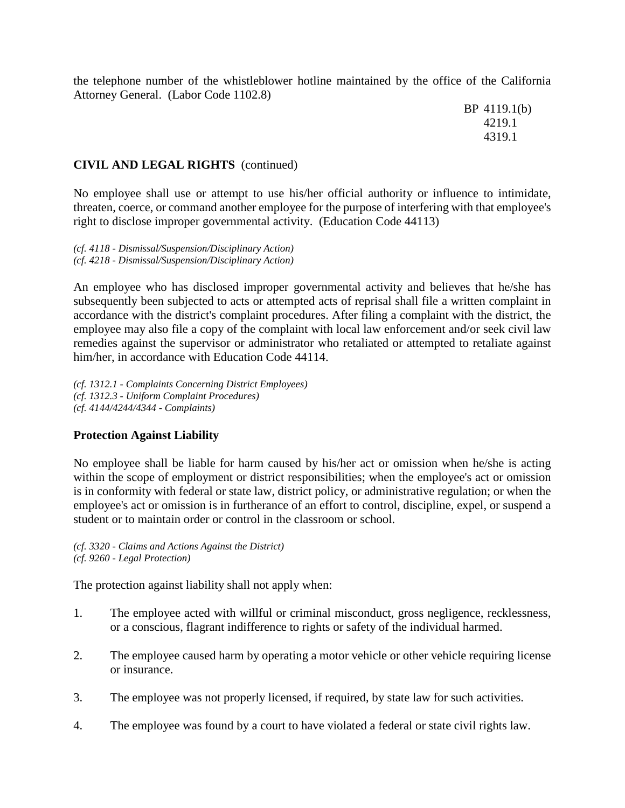the telephone number of the whistleblower hotline maintained by the office of the California Attorney General. (Labor Code 1102.8)

> BP 4119.1(b) 4219.1 4319.1

## **CIVIL AND LEGAL RIGHTS** (continued)

No employee shall use or attempt to use his/her official authority or influence to intimidate, threaten, coerce, or command another employee for the purpose of interfering with that employee's right to disclose improper governmental activity. (Education Code 44113)

*(cf. 4118 - Dismissal/Suspension/Disciplinary Action) (cf. 4218 - Dismissal/Suspension/Disciplinary Action)*

An employee who has disclosed improper governmental activity and believes that he/she has subsequently been subjected to acts or attempted acts of reprisal shall file a written complaint in accordance with the district's complaint procedures. After filing a complaint with the district, the employee may also file a copy of the complaint with local law enforcement and/or seek civil law remedies against the supervisor or administrator who retaliated or attempted to retaliate against him/her, in accordance with Education Code 44114.

*(cf. 1312.1 - Complaints Concerning District Employees) (cf. 1312.3 - Uniform Complaint Procedures) (cf. 4144/4244/4344 - Complaints)*

## **Protection Against Liability**

No employee shall be liable for harm caused by his/her act or omission when he/she is acting within the scope of employment or district responsibilities; when the employee's act or omission is in conformity with federal or state law, district policy, or administrative regulation; or when the employee's act or omission is in furtherance of an effort to control, discipline, expel, or suspend a student or to maintain order or control in the classroom or school.

*(cf. 3320 - Claims and Actions Against the District) (cf. 9260 - Legal Protection)*

The protection against liability shall not apply when:

- 1. The employee acted with willful or criminal misconduct, gross negligence, recklessness, or a conscious, flagrant indifference to rights or safety of the individual harmed.
- 2. The employee caused harm by operating a motor vehicle or other vehicle requiring license or insurance.
- 3. The employee was not properly licensed, if required, by state law for such activities.
- 4. The employee was found by a court to have violated a federal or state civil rights law.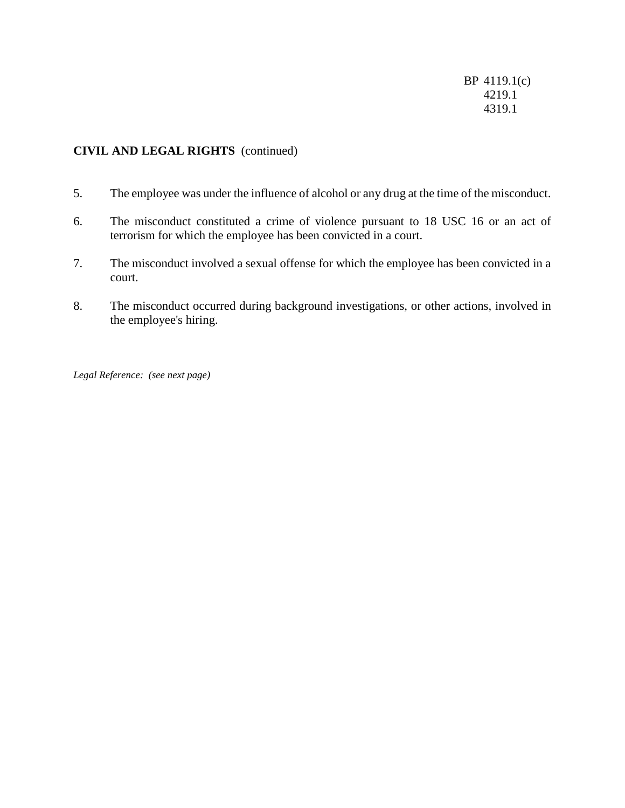BP 4119.1(c) 4219.1 4319.1

# **CIVIL AND LEGAL RIGHTS** (continued)

- 5. The employee was under the influence of alcohol or any drug at the time of the misconduct.
- 6. The misconduct constituted a crime of violence pursuant to 18 USC 16 or an act of terrorism for which the employee has been convicted in a court.
- 7. The misconduct involved a sexual offense for which the employee has been convicted in a court.
- 8. The misconduct occurred during background investigations, or other actions, involved in the employee's hiring.

*Legal Reference: (see next page)*